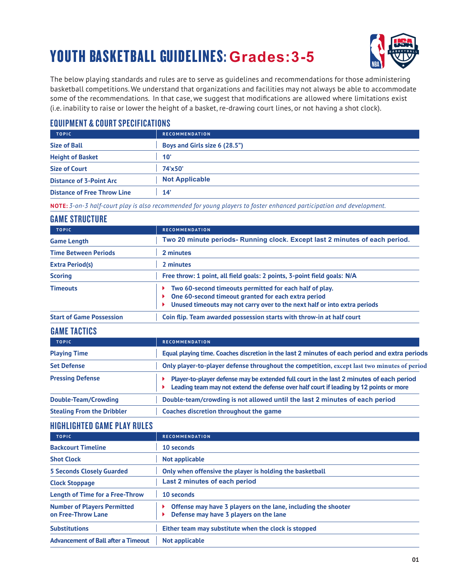# YOUTH BASKETBALL GUIDELINES: **Grades:3-5**



The below playing standards and rules are to serve as guidelines and recommendations for those administering basketball competitions. We understand that organizations and facilities may not always be able to accommodate some of the recommendations. In that case, we suggest that modifications are allowed where limitations exist (i.e. inability to raise or lower the height of a basket, re-drawing court lines, or not having a shot clock).

#### EQUIPMENT & COURT SPECIFICATIONS

| <b>TOPIC</b>                       | <b>RECOMMENDATION</b>         |
|------------------------------------|-------------------------------|
| <b>Size of Ball</b>                | Boys and Girls size 6 (28.5") |
| <b>Height of Basket</b>            | $10^{\circ}$                  |
| <b>Size of Court</b>               | 74'x50'                       |
| <b>Distance of 3-Point Arc</b>     | <b>Not Applicable</b>         |
| <b>Distance of Free Throw Line</b> | 14'                           |

**NOTE:** *3-on-3 half-court play is also recommended for young players to foster enhanced participation and development.*

### GAME STRUCTURE

| <b>TOPIC</b>                    | <b>RECOMMENDATION</b>                                                                                                                                                                       |
|---------------------------------|---------------------------------------------------------------------------------------------------------------------------------------------------------------------------------------------|
| <b>Game Length</b>              | Two 20 minute periods- Running clock. Except last 2 minutes of each period.                                                                                                                 |
| <b>Time Between Periods</b>     | 2 minutes                                                                                                                                                                                   |
| <b>Extra Period(s)</b>          | 2 minutes                                                                                                                                                                                   |
| <b>Scoring</b>                  | Free throw: 1 point, all field goals: 2 points, 3-point field goals: N/A                                                                                                                    |
| <b>Timeouts</b>                 | Two 60-second timeouts permitted for each half of play.<br>One 60-second timeout granted for each extra period<br>Unused timeouts may not carry over to the next half or into extra periods |
| <b>Start of Game Possession</b> | Coin flip. Team awarded possession starts with throw-in at half court                                                                                                                       |

#### GAME TACTICS

| <b>TOPIC</b>                      | <b>RECOMMENDATION</b>                                                                                                                                                               |
|-----------------------------------|-------------------------------------------------------------------------------------------------------------------------------------------------------------------------------------|
| <b>Playing Time</b>               | Equal playing time. Coaches discretion in the last 2 minutes of each period and extra periods                                                                                       |
| <b>Set Defense</b>                | Only player-to-player defense throughout the competition, except last two minutes of period                                                                                         |
| <b>Pressing Defense</b>           | Player-to-player defense may be extended full court in the last 2 minutes of each period<br>Leading team may not extend the defense over half court if leading by 12 points or more |
| Double-Team/Crowding              | Double-team/crowding is not allowed until the last 2 minutes of each period                                                                                                         |
| <b>Stealing From the Dribbler</b> | Coaches discretion throughout the game                                                                                                                                              |

#### HIGHLIGHTED GAME PLAY RULES

| <b>TOPIC</b>                                             | <b>RECOMMENDATION</b>                                                                                   |
|----------------------------------------------------------|---------------------------------------------------------------------------------------------------------|
| <b>Backcourt Timeline</b>                                | 10 seconds                                                                                              |
| <b>Shot Clock</b>                                        | Not applicable                                                                                          |
| <b>5 Seconds Closely Guarded</b>                         | Only when offensive the player is holding the basketball                                                |
| <b>Clock Stoppage</b>                                    | Last 2 minutes of each period                                                                           |
| <b>Length of Time for a Free-Throw</b>                   | 10 seconds                                                                                              |
| <b>Number of Players Permitted</b><br>on Free-Throw Lane | Offense may have 3 players on the lane, including the shooter<br>Defense may have 3 players on the lane |
| <b>Substitutions</b>                                     | Either team may substitute when the clock is stopped                                                    |
| <b>Advancement of Ball after a Timeout</b>               | Not applicable                                                                                          |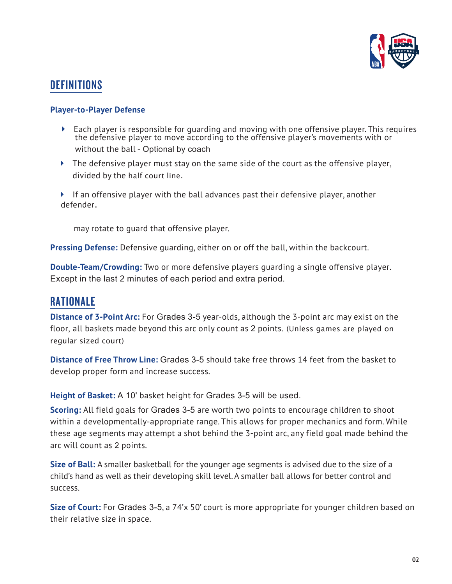

## **DEFINITIONS**

#### **Player-to-Player Defense**

- Each player is responsible for guarding and moving with one offensive player. This requires the defensive player to move according to the offensive player's movements with or without the ball - Optional by coach
- $\blacktriangleright$  The defensive player must stay on the same side of the court as the offensive player, divided by the half court line.
- If an offensive player with the ball advances past their defensive player, another defender.

may rotate to guard that offensive player.

**Pressing Defense:** Defensive guarding, either on or off the ball, within the backcourt.

**Double-Team/Crowding:** Two or more defensive players guarding a single offensive player. Except in the last 2 minutes of each period and extra period.

## RATIONALE

**Distance of 3-Point Arc:** For Grades 3-5 year-olds, although the 3-point arc may exist on the floor, all baskets made beyond this arc only count as 2 points. (Unless games are played on regular sized court)

**Distance of Free Throw Line:** Grades 3-5 should take free throws 14 feet from the basket to develop proper form and increase success.

**Height of Basket:** A 10' basket height for Grades 3-5 will be used.

**Scoring:** All field goals for Grades 3-5 are worth two points to encourage children to shoot within a developmentally-appropriate range. This allows for proper mechanics and form. While these age segments may attempt a shot behind the 3-point arc, any field goal made behind the arc will count as 2 points.

**Size of Ball:** A smaller basketball for the younger age segments is advised due to the size of a child's hand as well as their developing skill level.A smaller ball allows for better control and success.

**Size of Court:** For Grades 3-5, a 74'x 50' court is more appropriate for younger children based on their relative size in space.